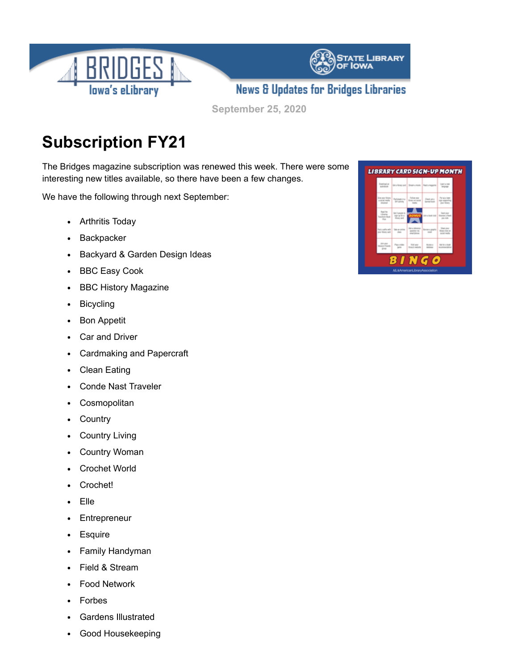

**September 25, 2020**

## **Subscription FY21**

The Bridges magazine subscription was renewed this week. There were some interesting new titles available, so there have been a few changes.

We have the following through next September:

- Arthritis Today
- **Backpacker**
- Backyard & Garden Design Ideas
- BBC Easy Cook  $\bullet$
- BBC History Magazine  $\bullet$
- Bicycling  $\bullet$
- Bon Appetit  $\bullet$
- Car and Driver
- Cardmaking and Papercraft  $\bullet$
- Clean Eating  $\bullet$
- Conde Nast Traveler
- **Cosmopolitan**
- Country  $\bullet$
- Country Living  $\bullet$
- Country Woman  $\bullet$
- Crochet World  $\bullet$
- Crochet!  $\bullet$
- Elle
- Entrepreneur  $\bullet$
- Esquire  $\bullet$
- Family Handyman  $\bullet$
- Field & Stream
- Food Network
- Forbes
- Gardens Illustrated
- Good Housekeeping $\bullet$

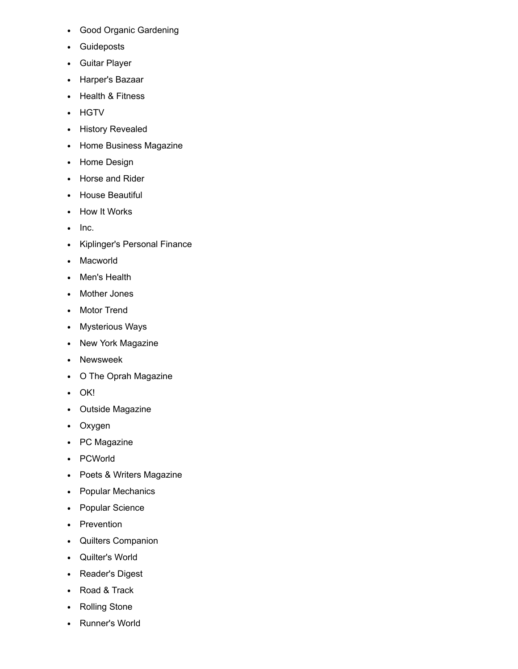- Good Organic Gardening
- Guideposts
- Guitar Player
- Harper's Bazaar
- Health & Fitness
- HGTV
- History Revealed
- Home Business Magazine
- Home Design
- Horse and Rider
- House Beautiful
- How It Works
- $\bullet$  Inc.
- Kiplinger's Personal Finance
- Macworld
- Men's Health
- Mother Jones
- Motor Trend
- Mysterious Ways
- New York Magazine
- Newsweek
- O The Oprah Magazine
- OK!
- Outside Magazine
- Oxygen
- PC Magazine
- PCWorld
- Poets & Writers Magazine
- Popular Mechanics
- Popular Science
- Prevention
- Quilters Companion
- Quilter's World
- Reader's Digest
- Road & Track
- Rolling Stone
- Runner's World